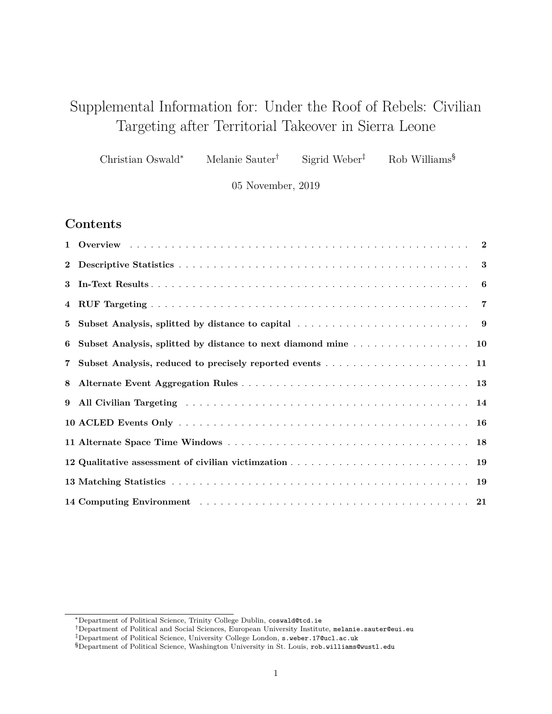# Supplemental Information for: Under the Roof of Rebels: Civilian Targeting after Territorial Takeover in Sierra Leone

Christian Oswald<sup>∗</sup> Melanie Sauter† Sigrid Weber‡ Rob Williams§

05 November, 2019

# **Contents**

| $\mathbf{2}$   |                                                               |  |
|----------------|---------------------------------------------------------------|--|
|                |                                                               |  |
|                |                                                               |  |
|                |                                                               |  |
| 6              | Subset Analysis, splitted by distance to next diamond mine 10 |  |
| $7\phantom{.}$ |                                                               |  |
| 8              |                                                               |  |
| 9              |                                                               |  |
|                |                                                               |  |
|                |                                                               |  |
|                |                                                               |  |
|                |                                                               |  |
|                |                                                               |  |

<sup>∗</sup>Department of Political Science, Trinity College Dublin, [coswald@tcd.ie](mailto:coswald@tcd.ie)

<sup>†</sup>Department of Political and Social Sciences, European University Institute, [melanie.sauter@eui.eu](mailto:melanie.sauter@eui.eu)

<sup>‡</sup>Department of Political Science, University College London, [s.weber.17@ucl.ac.uk](mailto:s.weber.17@ucl.ac.uk)

<sup>§</sup>Department of Political Science, Washington University in St. Louis, [rob.williams@wustl.edu](mailto:rob.williams@wustl.edu)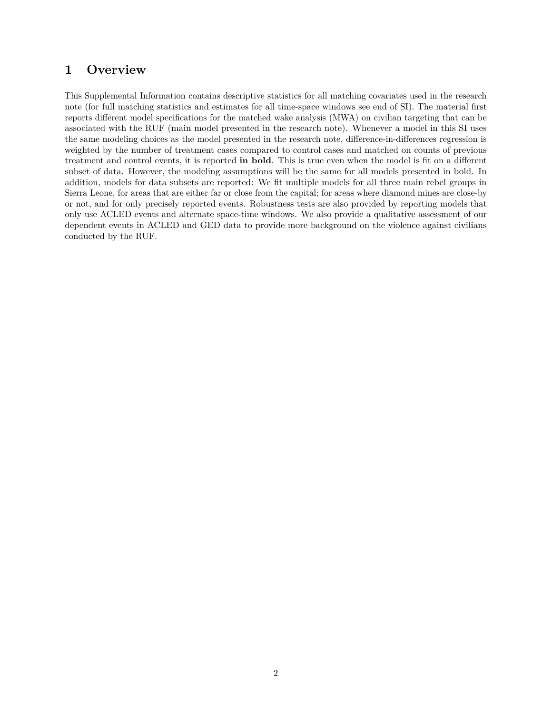## <span id="page-1-0"></span>**1 Overview**

This Supplemental Information contains descriptive statistics for all matching covariates used in the research note (for full matching statistics and estimates for all time-space windows see end of SI). The material first reports different model specifications for the matched wake analysis (MWA) on civilian targeting that can be associated with the RUF (main model presented in the research note). Whenever a model in this SI uses the same modeling choices as the model presented in the research note, difference-in-differences regression is weighted by the number of treatment cases compared to control cases and matched on counts of previous treatment and control events, it is reported **in bold**. This is true even when the model is fit on a different subset of data. However, the modeling assumptions will be the same for all models presented in bold. In addition, models for data subsets are reported: We fit multiple models for all three main rebel groups in Sierra Leone, for areas that are either far or close from the capital; for areas where diamond mines are close-by or not, and for only precisely reported events. Robustness tests are also provided by reporting models that only use ACLED events and alternate space-time windows. We also provide a qualitative assessment of our dependent events in ACLED and GED data to provide more background on the violence against civilians conducted by the RUF.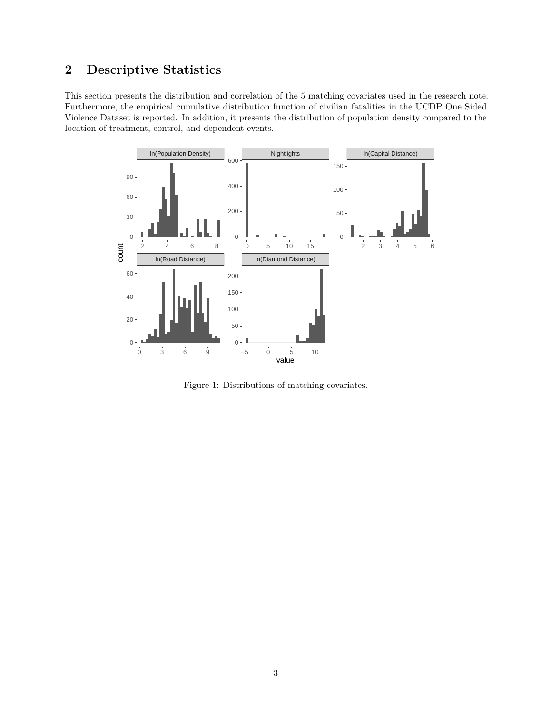# <span id="page-2-0"></span>**2 Descriptive Statistics**

This section presents the distribution and correlation of the 5 matching covariates used in the research note. Furthermore, the empirical cumulative distribution function of civilian fatalities in the UCDP One Sided Violence Dataset is reported. In addition, it presents the distribution of population density compared to the location of treatment, control, and dependent events.



Figure 1: Distributions of matching covariates.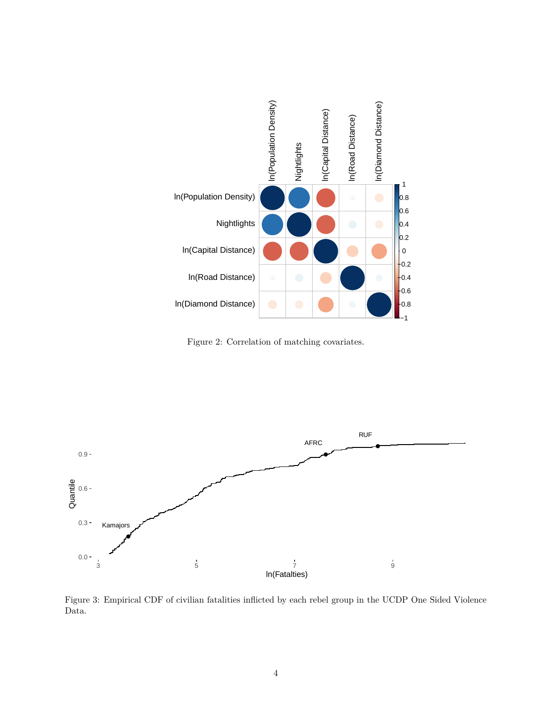

Figure 2: Correlation of matching covariates.



Figure 3: Empirical CDF of civilian fatalities inflicted by each rebel group in the UCDP One Sided Violence Data.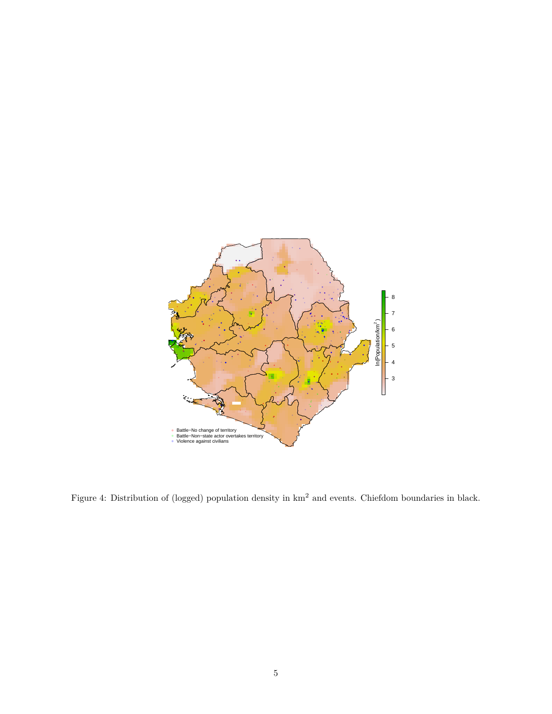

Figure 4: Distribution of (logged) population density in  $\mathrm{km}^2$  and events. Chiefdom boundaries in black.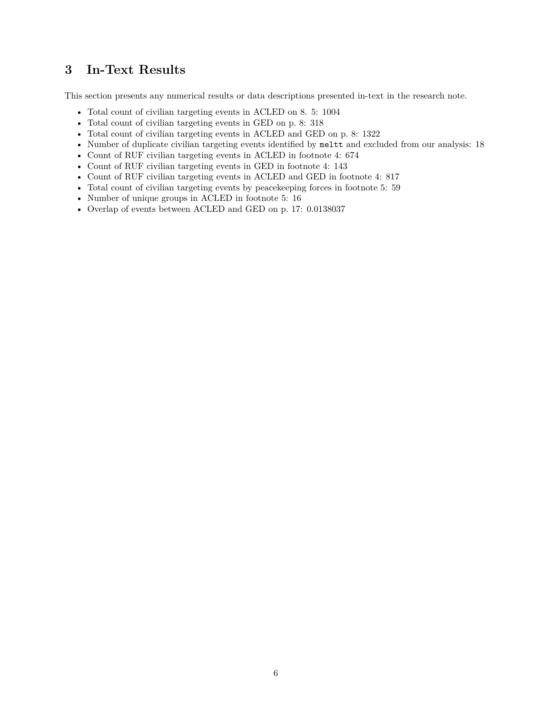# <span id="page-5-0"></span>**3 In-Text Results**

This section presents any numerical results or data descriptions presented in-text in the research note.

- Total count of civilian targeting events in ACLED on 8. 5: 1004
- Total count of civilian targeting events in GED on p. 8: 318
- Total count of civilian targeting events in ACLED and GED on p. 8: 1322
- Number of duplicate civilian targeting events identified by meltt and excluded from our analysis: 18
- Count of RUF civilian targeting events in ACLED in footnote 4: 674
- Count of RUF civilian targeting events in GED in footnote 4: 143
- Count of RUF civilian targeting events in ACLED and GED in footnote 4: 817
- Total count of civilian targeting events by peacekeeping forces in footnote 5: 59
- Number of unique groups in ACLED in footnote 5: 16
- Overlap of events between ACLED and GED on p. 17: 0.0138037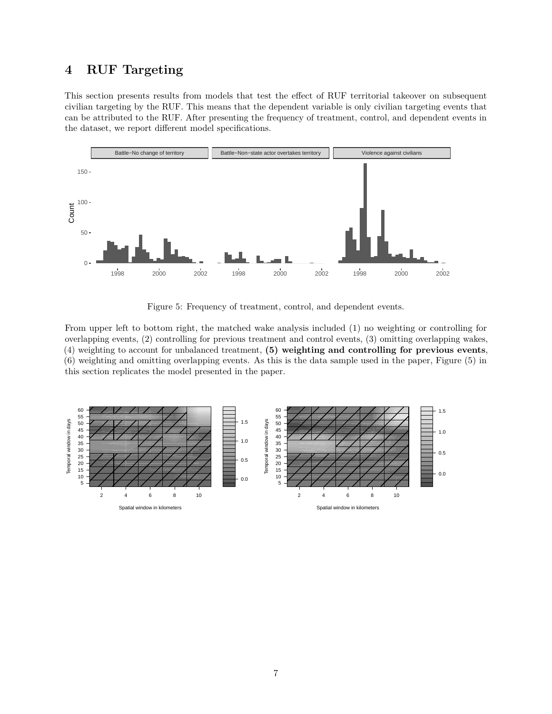## <span id="page-6-0"></span>**4 RUF Targeting**

This section presents results from models that test the effect of RUF territorial takeover on subsequent civilian targeting by the RUF. This means that the dependent variable is only civilian targeting events that can be attributed to the RUF. After presenting the frequency of treatment, control, and dependent events in the dataset, we report different model specifications.



Figure 5: Frequency of treatment, control, and dependent events.

From upper left to bottom right, the matched wake analysis included (1) no weighting or controlling for overlapping events, (2) controlling for previous treatment and control events, (3) omitting overlapping wakes, (4) weighting to account for unbalanced treatment, **(5) weighting and controlling for previous events**, (6) weighting and omitting overlapping events. As this is the data sample used in the paper, Figure (5) in this section replicates the model presented in the paper.

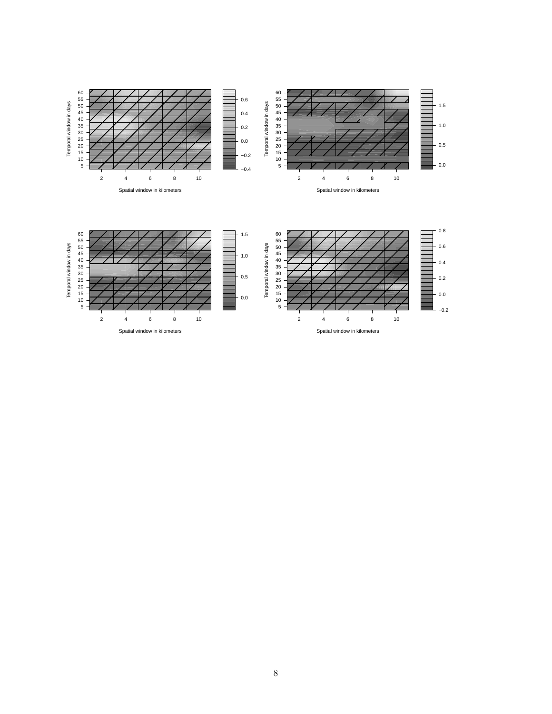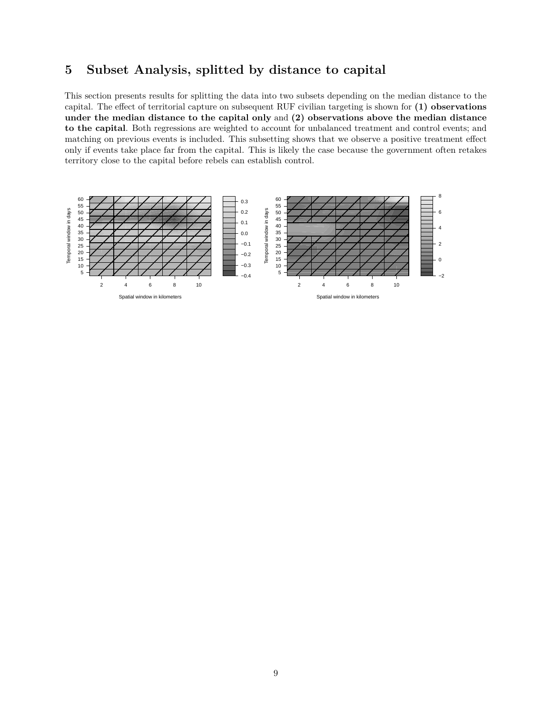## <span id="page-8-0"></span>**5 Subset Analysis, splitted by distance to capital**

This section presents results for splitting the data into two subsets depending on the median distance to the capital. The effect of territorial capture on subsequent RUF civilian targeting is shown for **(1) observations under the median distance to the capital only** and **(2) observations above the median distance to the capital**. Both regressions are weighted to account for unbalanced treatment and control events; and matching on previous events is included. This subsetting shows that we observe a positive treatment effect only if events take place far from the capital. This is likely the case because the government often retakes territory close to the capital before rebels can establish control.

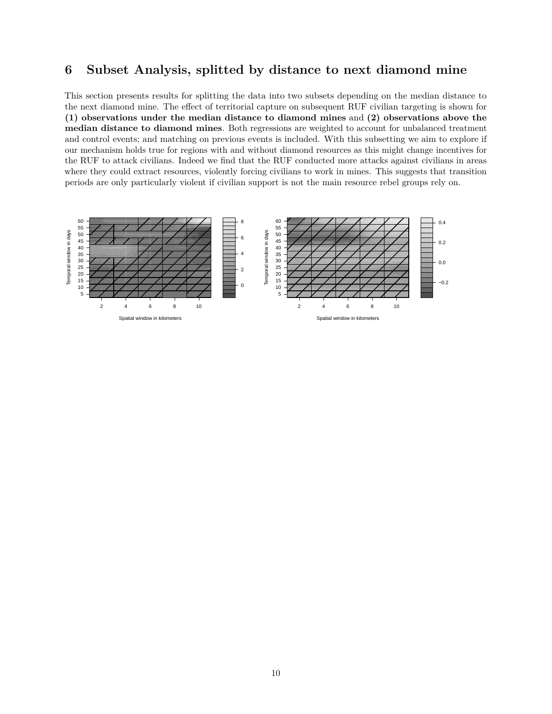#### <span id="page-9-0"></span>**6 Subset Analysis, splitted by distance to next diamond mine**

This section presents results for splitting the data into two subsets depending on the median distance to the next diamond mine. The effect of territorial capture on subsequent RUF civilian targeting is shown for **(1) observations under the median distance to diamond mines** and **(2) observations above the median distance to diamond mines**. Both regressions are weighted to account for unbalanced treatment and control events; and matching on previous events is included. With this subsetting we aim to explore if our mechanism holds true for regions with and without diamond resources as this might change incentives for the RUF to attack civilians. Indeed we find that the RUF conducted more attacks against civilians in areas where they could extract resources, violently forcing civilians to work in mines. This suggests that transition periods are only particularly violent if civilian support is not the main resource rebel groups rely on.

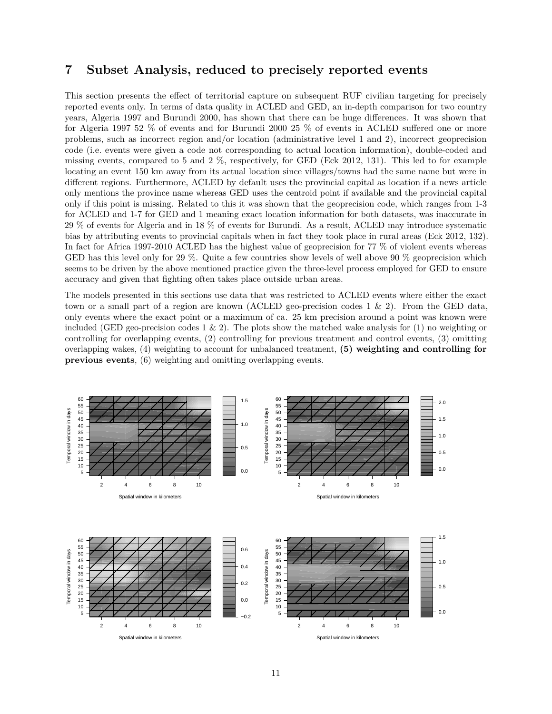#### <span id="page-10-0"></span>**7 Subset Analysis, reduced to precisely reported events**

This section presents the effect of territorial capture on subsequent RUF civilian targeting for precisely reported events only. In terms of data quality in ACLED and GED, an in-depth comparison for two country years, Algeria 1997 and Burundi 2000, has shown that there can be huge differences. It was shown that for Algeria 1997 52 % of events and for Burundi 2000 25 % of events in ACLED suffered one or more problems, such as incorrect region and/or location (administrative level 1 and 2), incorrect geoprecision code (i.e. events were given a code not corresponding to actual location information), double-coded and missing events, compared to 5 and 2 %, respectively, for GED (Eck 2012, 131). This led to for example locating an event 150 km away from its actual location since villages/towns had the same name but were in different regions. Furthermore, ACLED by default uses the provincial capital as location if a news article only mentions the province name whereas GED uses the centroid point if available and the provincial capital only if this point is missing. Related to this it was shown that the geoprecision code, which ranges from 1-3 for ACLED and 1-7 for GED and 1 meaning exact location information for both datasets, was inaccurate in 29 % of events for Algeria and in 18 % of events for Burundi. As a result, ACLED may introduce systematic bias by attributing events to provincial capitals when in fact they took place in rural areas (Eck 2012, 132). In fact for Africa 1997-2010 ACLED has the highest value of geoprecision for 77 % of violent events whereas GED has this level only for 29 %. Quite a few countries show levels of well above 90 % geoprecision which seems to be driven by the above mentioned practice given the three-level process employed for GED to ensure accuracy and given that fighting often takes place outside urban areas.

The models presented in this sections use data that was restricted to ACLED events where either the exact town or a small part of a region are known (ACLED geo-precision codes 1 & 2). From the GED data, only events where the exact point or a maximum of ca. 25 km precision around a point was known were included (GED geo-precision codes  $1 \& 2$ ). The plots show the matched wake analysis for (1) no weighting or controlling for overlapping events, (2) controlling for previous treatment and control events, (3) omitting overlapping wakes, (4) weighting to account for unbalanced treatment, **(5) weighting and controlling for previous events**, (6) weighting and omitting overlapping events.

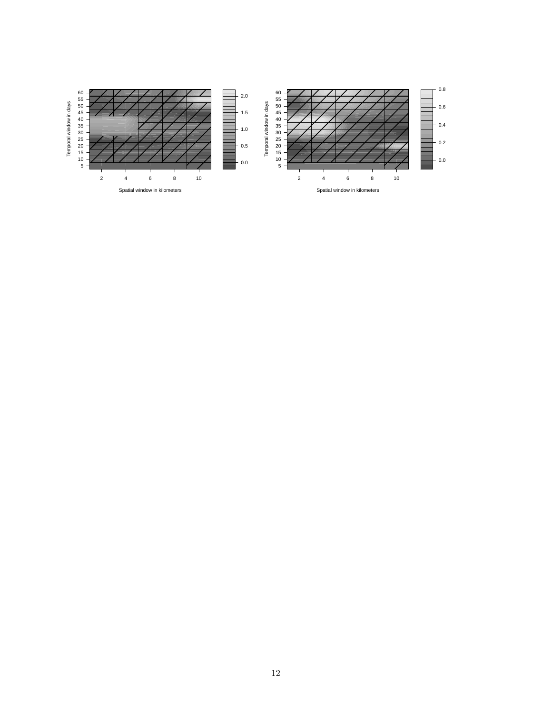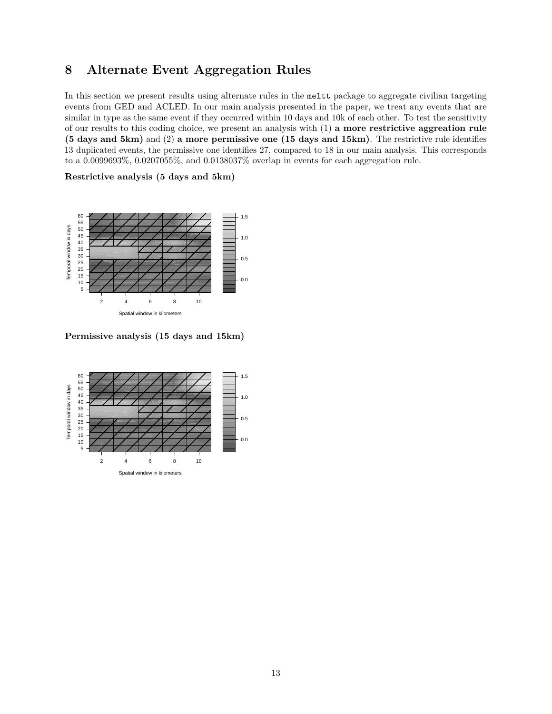# <span id="page-12-0"></span>**8 Alternate Event Aggregation Rules**

In this section we present results using alternate rules in the meltt package to aggregate civilian targeting events from GED and ACLED. In our main analysis presented in the paper, we treat any events that are similar in type as the same event if they occurred within 10 days and 10k of each other. To test the sensitivity of our results to this coding choice, we present an analysis with (1) **a more restrictive aggreation rule (5 days and 5km)** and (2) **a more permissive one (15 days and 15km)**. The restrictive rule identifies 13 duplicated events, the permissive one identifies 27, compared to 18 in our main analysis. This corresponds to a 0.0099693%, 0.0207055%, and 0.0138037% overlap in events for each aggregation rule.

**Restrictive analysis (5 days and 5km)**



**Permissive analysis (15 days and 15km)**

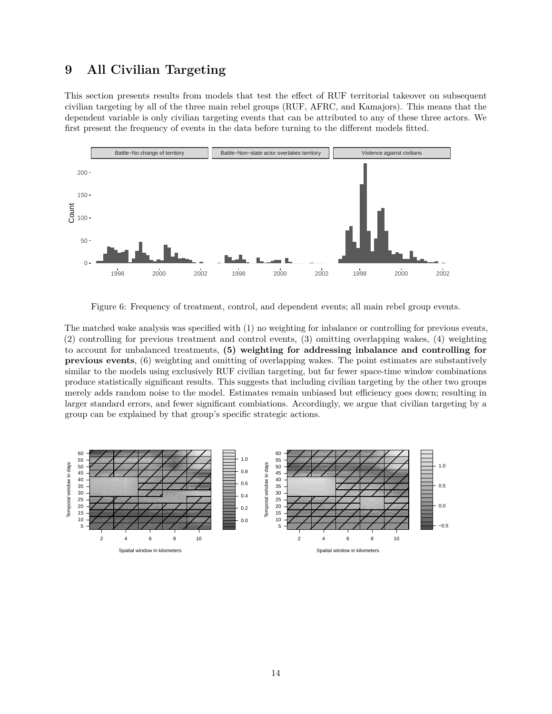## <span id="page-13-0"></span>**9 All Civilian Targeting**

This section presents results from models that test the effect of RUF territorial takeover on subsequent civilian targeting by all of the three main rebel groups (RUF, AFRC, and Kamajors). This means that the dependent variable is only civilian targeting events that can be attributed to any of these three actors. We first present the frequency of events in the data before turning to the different models fitted.



Figure 6: Frequency of treatment, control, and dependent events; all main rebel group events.

The matched wake analysis was specified with (1) no weighting for inbalance or controlling for previous events, (2) controlling for previous treatment and control events, (3) omitting overlapping wakes, (4) weighting to account for unbalanced treatments, **(5) weighting for addressing inbalance and controlling for previous events**, (6) weighting and omitting of overlapping wakes. The point estimates are substantively similar to the models using exclusively RUF civilian targeting, but far fewer space-time window combinations produce statistically significant results. This suggests that including civilian targeting by the other two groups merely adds random noise to the model. Estimates remain unbiased but efficiency goes down; resulting in larger standard errors, and fewer significant combiations. Accordingly, we argue that civilian targeting by a group can be explained by that group's specific strategic actions.

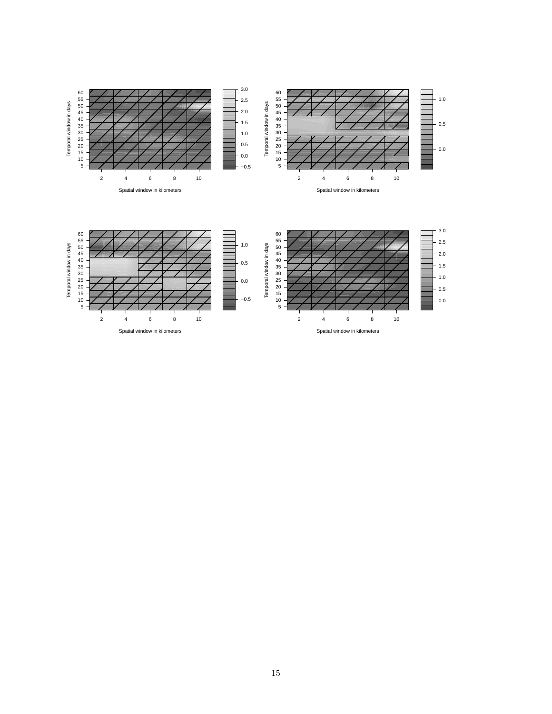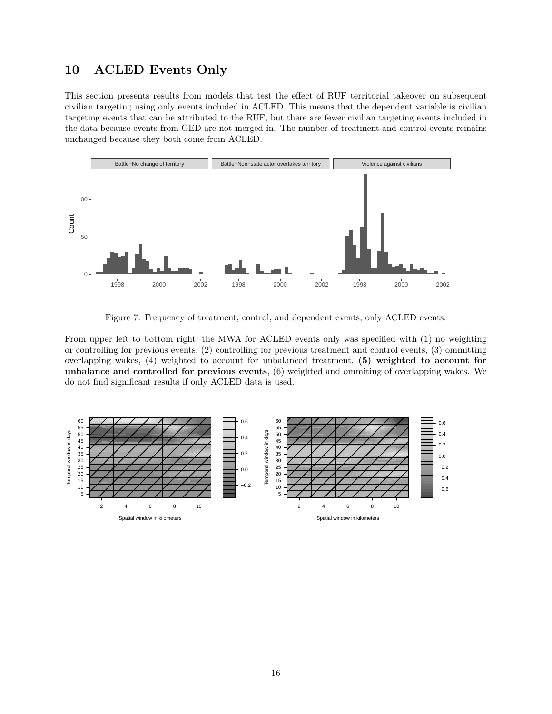## <span id="page-15-0"></span>**10 ACLED Events Only**

This section presents results from models that test the effect of RUF territorial takeover on subsequent civilian targeting using only events included in ACLED. This means that the dependent variable is civilian targeting events that can be attributed to the RUF, but there are fewer civilian targeting events included in the data because events from GED are not merged in. The number of treatment and control events remains unchanged because they both come from ACLED.



Figure 7: Frequency of treatment, control, and dependent events; only ACLED events.

From upper left to bottom right, the MWA for ACLED events only was specified with (1) no weighting or controlling for previous events, (2) controlling for previous treatment and control events, (3) ommitting overlapping wakes, (4) weighted to account for unbalanced treatment, **(5) weighted to account for unbalance and controlled for previous events**, (6) weighted and ommiting of overlapping wakes. We do not find significant results if only ACLED data is used.

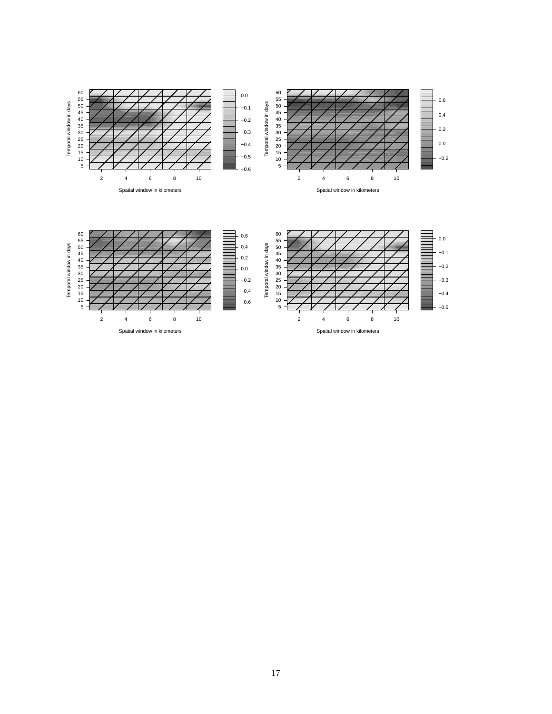

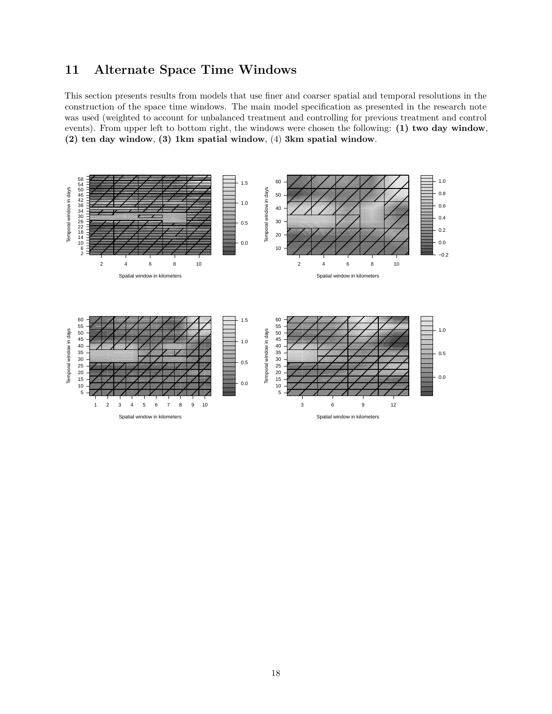## <span id="page-17-0"></span>**11 Alternate Space Time Windows**

This section presents results from models that use finer and coarser spatial and temporal resolutions in the construction of the space time windows. The main model specification as presented in the research note was used (weighted to account for unbalanced treatment and controlling for previous treatment and control events). From upper left to bottom right, the windows were chosen the following: **(1) two day window**, **(2) ten day window**, **(3) 1km spatial window**, (4) **3km spatial window**.

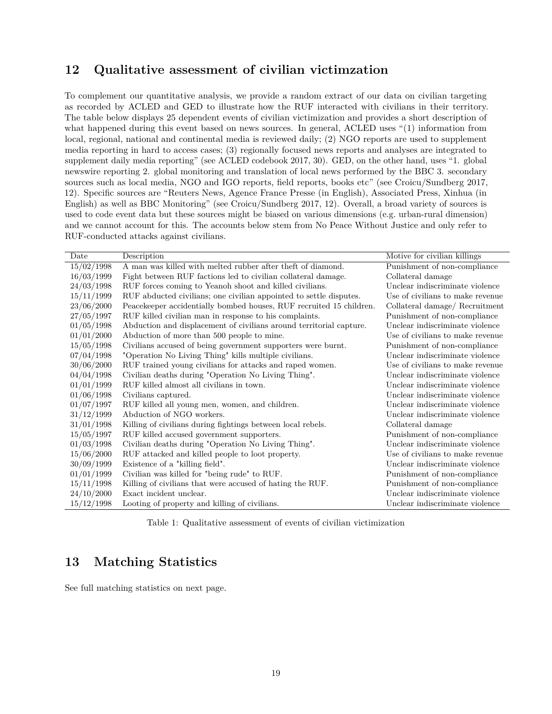## <span id="page-18-0"></span>**12 Qualitative assessment of civilian victimzation**

To complement our quantitative analysis, we provide a random extract of our data on civilian targeting as recorded by ACLED and GED to illustrate how the RUF interacted with civilians in their territory. The table below displays 25 dependent events of civilian victimization and provides a short description of what happened during this event based on news sources. In general, ACLED uses "(1) information from local, regional, national and continental media is reviewed daily; (2) NGO reports are used to supplement media reporting in hard to access cases; (3) regionally focused news reports and analyses are integrated to supplement daily media reporting" (see ACLED codebook 2017, 30). GED, on the other hand, uses "1. global newswire reporting 2. global monitoring and translation of local news performed by the BBC 3. secondary sources such as local media, NGO and IGO reports, field reports, books etc" (see Croicu/Sundberg 2017, 12). Specific sources are "Reuters News, Agence France Presse (in English), Associated Press, Xinhua (in English) as well as BBC Monitoring" (see Croicu/Sundberg 2017, 12). Overall, a broad variety of sources is used to code event data but these sources might be biased on various dimensions (e.g. urban-rural dimension) and we cannot account for this. The accounts below stem from No Peace Without Justice and only refer to RUF-conducted attacks against civilians.

| Date       | Description                                                         | Motive for civilian killings     |
|------------|---------------------------------------------------------------------|----------------------------------|
| 15/02/1998 | A man was killed with melted rubber after theft of diamond.         | Punishment of non-compliance     |
| 16/03/1999 | Fight between RUF factions led to civilian collateral damage.       | Collateral damage                |
| 24/03/1998 | RUF forces coming to Yeanoh shoot and killed civilians.             | Unclear indiscriminate violence  |
| 15/11/1999 | RUF abducted civilians; one civilian appointed to settle disputes.  | Use of civilians to make revenue |
| 23/06/2000 | Peacekeeper accidentially bombed houses, RUF recruited 15 children. | Collateral damage/Recruitment    |
| 27/05/1997 | RUF killed civilian man in response to his complaints.              | Punishment of non-compliance     |
| 01/05/1998 | Abduction and displacement of civilians around territorial capture. | Unclear indiscriminate violence  |
| 01/01/2000 | Abduction of more than 500 people to mine.                          | Use of civilians to make revenue |
| 15/05/1998 | Civilians accused of being government supporters were burnt.        | Punishment of non-compliance     |
| 07/04/1998 | "Operation No Living Thing" kills multiple civilians.               | Unclear indiscriminate violence  |
| 30/06/2000 | RUF trained young civilians for attacks and raped women.            | Use of civilians to make revenue |
| 04/04/1998 | Civilian deaths during "Operation No Living Thing".                 | Unclear indiscriminate violence  |
| 01/01/1999 | RUF killed almost all civilians in town.                            | Unclear indiscriminate violence  |
| 01/06/1998 | Civilians captured.                                                 | Unclear indiscriminate violence  |
| 01/07/1997 | RUF killed all young men, women, and children.                      | Unclear indiscriminate violence  |
| 31/12/1999 | Abduction of NGO workers.                                           | Unclear indiscriminate violence  |
| 31/01/1998 | Killing of civilians during fightings between local rebels.         | Collateral damage                |
| 15/05/1997 | RUF killed accused government supporters.                           | Punishment of non-compliance     |
| 01/03/1998 | Civilian deaths during "Operation No Living Thing".                 | Unclear indiscriminate violence  |
| 15/06/2000 | RUF attacked and killed people to loot property.                    | Use of civilians to make revenue |
| 30/09/1999 | Existence of a "killing field".                                     | Unclear indiscriminate violence  |
| 01/01/1999 | Civilian was killed for "being rude" to RUF.                        | Punishment of non-compliance     |
| 15/11/1998 | Killing of civilians that were accused of hating the RUF.           | Punishment of non-compliance     |
| 24/10/2000 | Exact incident unclear.                                             | Unclear indiscriminate violence  |
| 15/12/1998 | Looting of property and killing of civilians.                       | Unclear indiscriminate violence  |

Table 1: Qualitative assessment of events of civilian victimization

# <span id="page-18-1"></span>**13 Matching Statistics**

See full matching statistics on next page.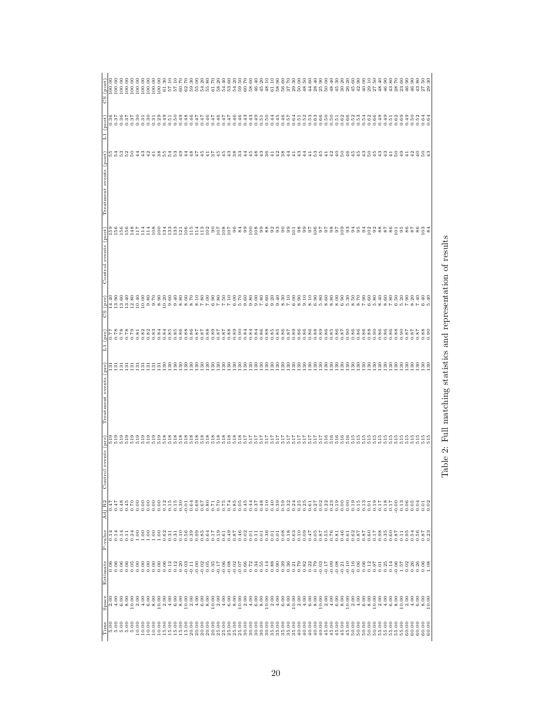|  | いのははないのでのとのかのからのかいというのではないのでのというのではないのではないのでのでいいののではないである。これは、これは、これは、これは、これは、これは、これは、これは、これは、このようなど このというのではない こうてきていい こうてきてき こうきょうきょう |  | $\begin{array}{l} 100.00 \\ 100.00 \\ 100.00 \\ 100.00 \\ 100.00 \\ 100.00 \\ 100.00 \\ 100.00 \\ 100.00 \\ 100.00 \\ 100.00 \\ 100.00 \\ 100.00 \\ 100.00 \\ 100.00 \\ 100.00 \\ 1 \end{array}$ |
|--|-----------------------------------------------------------------------------------------------------------------------------------------|--|--------------------------------------------------------------------------------------------------------------------------------------------------------------------------------------------------|
|  |                                                                                                                                         |  |                                                                                                                                                                                                  |
|  |                                                                                                                                         |  |                                                                                                                                                                                                  |
|  |                                                                                                                                         |  |                                                                                                                                                                                                  |
|  |                                                                                                                                         |  |                                                                                                                                                                                                  |
|  |                                                                                                                                         |  |                                                                                                                                                                                                  |
|  |                                                                                                                                         |  |                                                                                                                                                                                                  |
|  |                                                                                                                                         |  |                                                                                                                                                                                                  |
|  |                                                                                                                                         |  |                                                                                                                                                                                                  |
|  |                                                                                                                                         |  |                                                                                                                                                                                                  |
|  |                                                                                                                                         |  |                                                                                                                                                                                                  |
|  |                                                                                                                                         |  |                                                                                                                                                                                                  |
|  |                                                                                                                                         |  |                                                                                                                                                                                                  |
|  |                                                                                                                                         |  |                                                                                                                                                                                                  |
|  |                                                                                                                                         |  |                                                                                                                                                                                                  |
|  |                                                                                                                                         |  |                                                                                                                                                                                                  |
|  |                                                                                                                                         |  |                                                                                                                                                                                                  |
|  |                                                                                                                                         |  |                                                                                                                                                                                                  |
|  |                                                                                                                                         |  |                                                                                                                                                                                                  |
|  |                                                                                                                                         |  |                                                                                                                                                                                                  |
|  |                                                                                                                                         |  |                                                                                                                                                                                                  |
|  |                                                                                                                                         |  |                                                                                                                                                                                                  |
|  |                                                                                                                                         |  |                                                                                                                                                                                                  |
|  |                                                                                                                                         |  |                                                                                                                                                                                                  |
|  |                                                                                                                                         |  |                                                                                                                                                                                                  |
|  |                                                                                                                                         |  |                                                                                                                                                                                                  |
|  |                                                                                                                                         |  |                                                                                                                                                                                                  |
|  |                                                                                                                                         |  |                                                                                                                                                                                                  |
|  |                                                                                                                                         |  |                                                                                                                                                                                                  |
|  |                                                                                                                                         |  |                                                                                                                                                                                                  |
|  |                                                                                                                                         |  |                                                                                                                                                                                                  |
|  |                                                                                                                                         |  |                                                                                                                                                                                                  |
|  |                                                                                                                                         |  |                                                                                                                                                                                                  |
|  |                                                                                                                                         |  |                                                                                                                                                                                                  |
|  |                                                                                                                                         |  |                                                                                                                                                                                                  |
|  |                                                                                                                                         |  |                                                                                                                                                                                                  |
|  |                                                                                                                                         |  |                                                                                                                                                                                                  |
|  |                                                                                                                                         |  |                                                                                                                                                                                                  |
|  |                                                                                                                                         |  |                                                                                                                                                                                                  |
|  |                                                                                                                                         |  |                                                                                                                                                                                                  |
|  |                                                                                                                                         |  |                                                                                                                                                                                                  |
|  |                                                                                                                                         |  |                                                                                                                                                                                                  |
|  |                                                                                                                                         |  |                                                                                                                                                                                                  |
|  |                                                                                                                                         |  |                                                                                                                                                                                                  |
|  |                                                                                                                                         |  |                                                                                                                                                                                                  |
|  |                                                                                                                                         |  |                                                                                                                                                                                                  |
|  |                                                                                                                                         |  |                                                                                                                                                                                                  |
|  |                                                                                                                                         |  |                                                                                                                                                                                                  |
|  |                                                                                                                                         |  |                                                                                                                                                                                                  |
|  |                                                                                                                                         |  |                                                                                                                                                                                                  |
|  |                                                                                                                                         |  |                                                                                                                                                                                                  |
|  |                                                                                                                                         |  |                                                                                                                                                                                                  |
|  |                                                                                                                                         |  |                                                                                                                                                                                                  |
|  |                                                                                                                                         |  |                                                                                                                                                                                                  |
|  |                                                                                                                                         |  |                                                                                                                                                                                                  |
|  |                                                                                                                                         |  |                                                                                                                                                                                                  |
|  |                                                                                                                                         |  |                                                                                                                                                                                                  |

Table 2: Full matching statistics and representation of results Table 2: Full matching statistics and representation of results